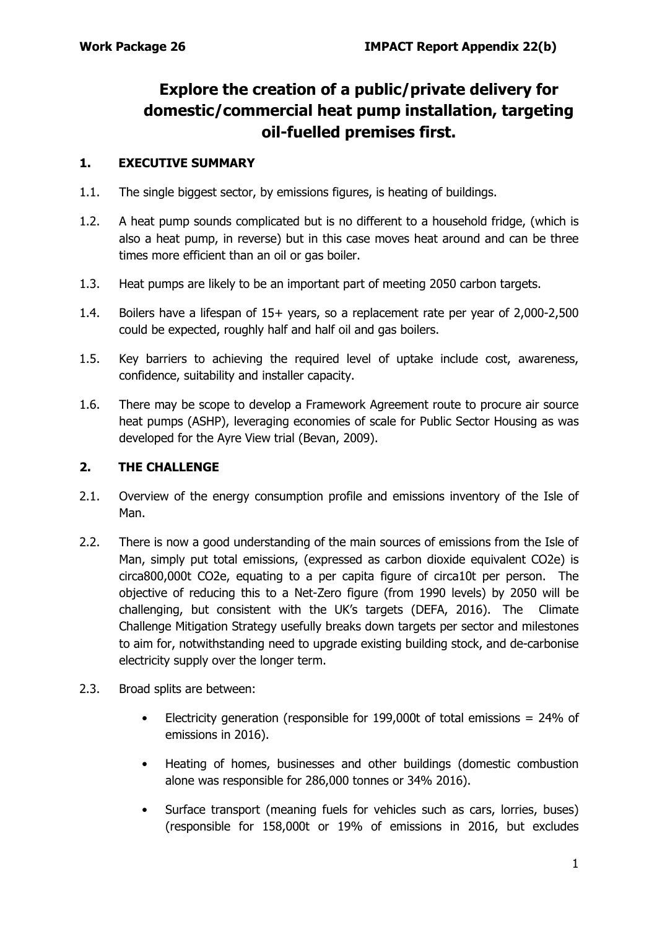# **Explore the creation of a public/private delivery for domestic/commercial heat pump installation, targeting oil-fuelled premises first.**

#### **1. EXECUTIVE SUMMARY**

- 1.1. The single biggest sector, by emissions figures, is heating of buildings.
- 1.2. A heat pump sounds complicated but is no different to a household fridge, (which is also a heat pump, in reverse) but in this case moves heat around and can be three times more efficient than an oil or gas boiler.
- 1.3. Heat pumps are likely to be an important part of meeting 2050 carbon targets.
- 1.4. Boilers have a lifespan of 15+ years, so a replacement rate per year of 2,000-2,500 could be expected, roughly half and half oil and gas boilers.
- 1.5. Key barriers to achieving the required level of uptake include cost, awareness, confidence, suitability and installer capacity.
- 1.6. There may be scope to develop a Framework Agreement route to procure air source heat pumps (ASHP), leveraging economies of scale for Public Sector Housing as was developed for the Ayre View trial (Bevan, 2009).

#### **2. THE CHALLENGE**

- 2.1. Overview of the energy consumption profile and emissions inventory of the Isle of Man.
- 2.2. There is now a good understanding of the main sources of emissions from the Isle of Man, simply put total emissions, (expressed as carbon dioxide equivalent CO2e) is circa800,000t CO2e, equating to a per capita figure of circa10t per person. The objective of reducing this to a Net-Zero figure (from 1990 levels) by 2050 will be challenging, but consistent with the UK's targets (DEFA, 2016). The Climate Challenge Mitigation Strategy usefully breaks down targets per sector and milestones to aim for, notwithstanding need to upgrade existing building stock, and de-carbonise electricity supply over the longer term.
- 2.3. Broad splits are between:
	- Electricity generation (responsible for 199,000t of total emissions = 24% of emissions in 2016).
	- Heating of homes, businesses and other buildings (domestic combustion alone was responsible for 286,000 tonnes or 34% 2016).
	- Surface transport (meaning fuels for vehicles such as cars, lorries, buses) (responsible for 158,000t or 19% of emissions in 2016, but excludes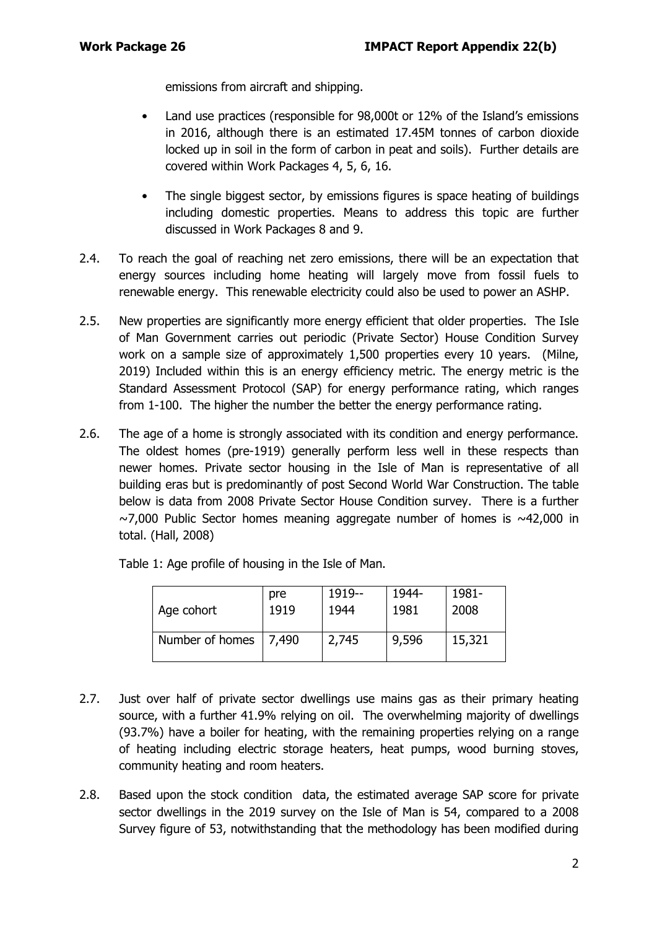emissions from aircraft and shipping.

- Land use practices (responsible for 98,000t or 12% of the Island's emissions in 2016, although there is an estimated 17.45M tonnes of carbon dioxide locked up in soil in the form of carbon in peat and soils). Further details are covered within Work Packages 4, 5, 6, 16.
- The single biggest sector, by emissions figures is space heating of buildings including domestic properties. Means to address this topic are further discussed in Work Packages 8 and 9.
- 2.4. To reach the goal of reaching net zero emissions, there will be an expectation that energy sources including home heating will largely move from fossil fuels to renewable energy. This renewable electricity could also be used to power an ASHP.
- 2.5. New properties are significantly more energy efficient that older properties. The Isle of Man Government carries out periodic (Private Sector) House Condition Survey work on a sample size of approximately 1,500 properties every 10 years. (Milne, 2019) Included within this is an energy efficiency metric. The energy metric is the Standard Assessment Protocol (SAP) for energy performance rating, which ranges from 1-100. The higher the number the better the energy performance rating.
- 2.6. The age of a home is strongly associated with its condition and energy performance. The oldest homes (pre-1919) generally perform less well in these respects than newer homes. Private sector housing in the Isle of Man is representative of all building eras but is predominantly of post Second World War Construction. The table below is data from 2008 Private Sector House Condition survey. There is a further  $\sim$ 7,000 Public Sector homes meaning aggregate number of homes is  $\sim$ 42,000 in total. (Hall, 2008)

| Age cohort      | pre   | 1919-- | 1944- | 1981-  |
|-----------------|-------|--------|-------|--------|
|                 | 1919  | 1944   | 1981  | 2008   |
| Number of homes | 7,490 | 2,745  | 9,596 | 15,321 |

Table 1: Age profile of housing in the Isle of Man.

- 2.7. Just over half of private sector dwellings use mains gas as their primary heating source, with a further 41.9% relying on oil. The overwhelming majority of dwellings (93.7%) have a boiler for heating, with the remaining properties relying on a range of heating including electric storage heaters, heat pumps, wood burning stoves, community heating and room heaters.
- 2.8. Based upon the stock condition data, the estimated average SAP score for private sector dwellings in the 2019 survey on the Isle of Man is 54, compared to a 2008 Survey figure of 53, notwithstanding that the methodology has been modified during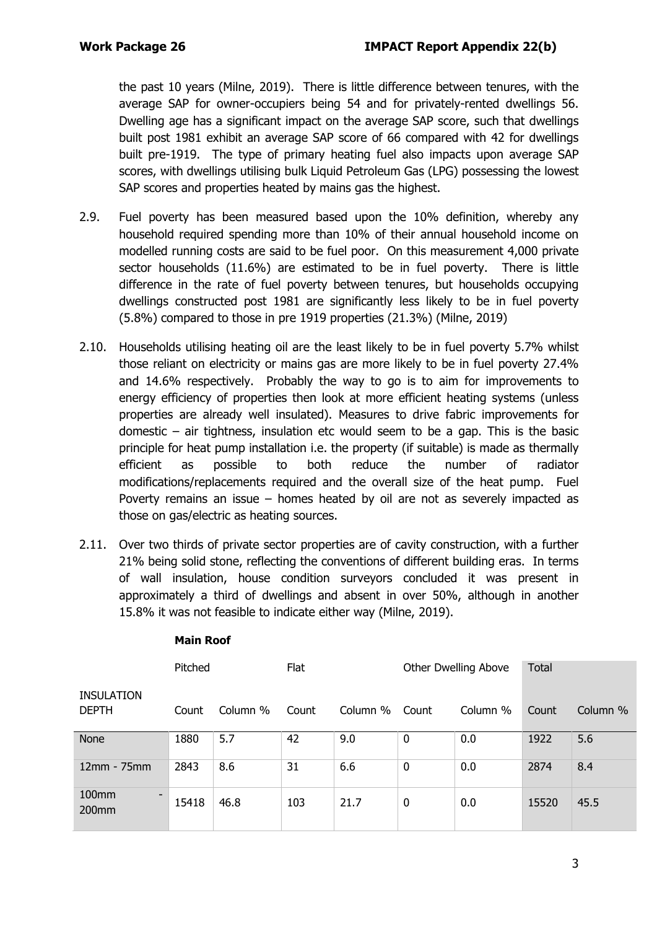the past 10 years (Milne, 2019). There is little difference between tenures, with the average SAP for owner-occupiers being 54 and for privately-rented dwellings 56. Dwelling age has a significant impact on the average SAP score, such that dwellings built post 1981 exhibit an average SAP score of 66 compared with 42 for dwellings built pre-1919. The type of primary heating fuel also impacts upon average SAP scores, with dwellings utilising bulk Liquid Petroleum Gas (LPG) possessing the lowest SAP scores and properties heated by mains gas the highest.

- 2.9. Fuel poverty has been measured based upon the 10% definition, whereby any household required spending more than 10% of their annual household income on modelled running costs are said to be fuel poor. On this measurement 4,000 private sector households (11.6%) are estimated to be in fuel poverty. There is little difference in the rate of fuel poverty between tenures, but households occupying dwellings constructed post 1981 are significantly less likely to be in fuel poverty (5.8%) compared to those in pre 1919 properties (21.3%) (Milne, 2019)
- 2.10. Households utilising heating oil are the least likely to be in fuel poverty 5.7% whilst those reliant on electricity or mains gas are more likely to be in fuel poverty 27.4% and 14.6% respectively. Probably the way to go is to aim for improvements to energy efficiency of properties then look at more efficient heating systems (unless properties are already well insulated). Measures to drive fabric improvements for domestic – air tightness, insulation etc would seem to be a gap. This is the basic principle for heat pump installation i.e. the property (if suitable) is made as thermally efficient as possible to both reduce the number of radiator modifications/replacements required and the overall size of the heat pump. Fuel Poverty remains an issue – homes heated by oil are not as severely impacted as those on gas/electric as heating sources.
- 2.11. Over two thirds of private sector properties are of cavity construction, with a further 21% being solid stone, reflecting the conventions of different building eras. In terms of wall insulation, house condition surveyors concluded it was present in approximately a third of dwellings and absent in over 50%, although in another 15.8% it was not feasible to indicate either way (Milne, 2019).

|                                                | Pitched |          | Flat  |          |       | Other Dwelling Above | <b>Total</b> |          |
|------------------------------------------------|---------|----------|-------|----------|-------|----------------------|--------------|----------|
| <b>INSULATION</b><br><b>DEPTH</b>              | Count   | Column % | Count | Column % | Count | Column %             | Count        | Column % |
| <b>None</b>                                    | 1880    | 5.7      | 42    | 9.0      | 0     | 0.0                  | 1922         | 5.6      |
| 12mm - 75mm                                    | 2843    | 8.6      | 31    | 6.6      | 0     | 0.0                  | 2874         | 8.4      |
| 100mm<br>$\qquad \qquad \blacksquare$<br>200mm | 15418   | 46.8     | 103   | 21.7     | 0     | 0.0                  | 15520        | 45.5     |

#### **Main Roof**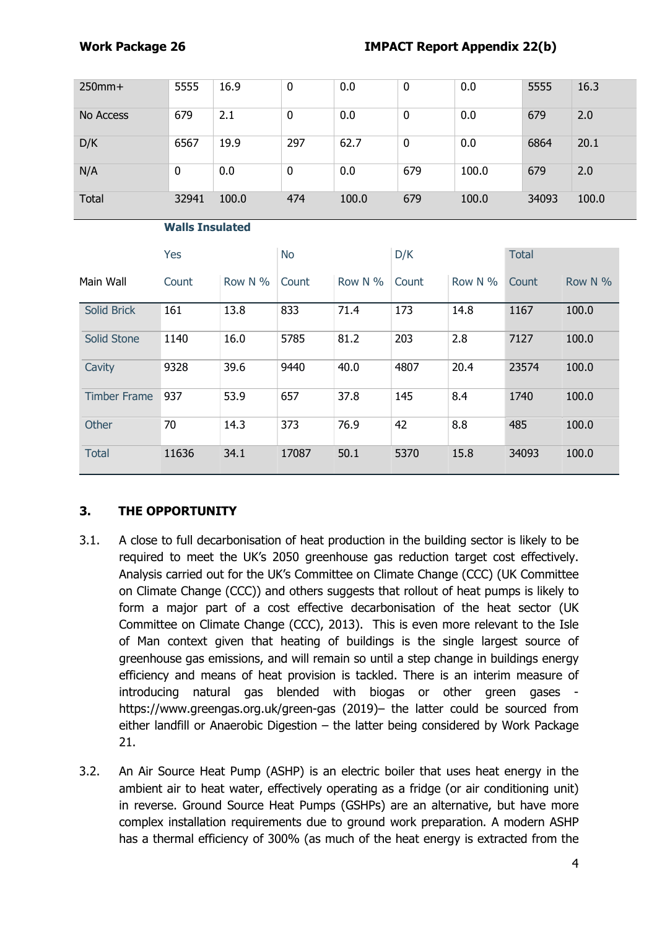| $250$ mm $+$ | 5555  | 16.9  | 0   | 0.0   | 0   | 0.0   | 5555  | 16.3  |
|--------------|-------|-------|-----|-------|-----|-------|-------|-------|
| No Access    | 679   | 2.1   | 0   | 0.0   | 0   | 0.0   | 679   | 2.0   |
| D/K          | 6567  | 19.9  | 297 | 62.7  | 0   | 0.0   | 6864  | 20.1  |
| N/A          | 0     | 0.0   | 0   | 0.0   | 679 | 100.0 | 679   | 2.0   |
| Total        | 32941 | 100.0 | 474 | 100.0 | 679 | 100.0 | 34093 | 100.0 |

#### **Walls Insulated**

|                     | Yes   |         | <b>No</b> |            | D/K   |            | <b>Total</b> |            |
|---------------------|-------|---------|-----------|------------|-------|------------|--------------|------------|
| Main Wall           | Count | Row N % | Count     | Row N $\%$ | Count | Row N $\%$ | Count        | Row N $\%$ |
| Solid Brick         | 161   | 13.8    | 833       | 71.4       | 173   | 14.8       | 1167         | 100.0      |
| Solid Stone         | 1140  | 16.0    | 5785      | 81.2       | 203   | 2.8        | 7127         | 100.0      |
| Cavity              | 9328  | 39.6    | 9440      | 40.0       | 4807  | 20.4       | 23574        | 100.0      |
| <b>Timber Frame</b> | 937   | 53.9    | 657       | 37.8       | 145   | 8.4        | 1740         | 100.0      |
| Other               | 70    | 14.3    | 373       | 76.9       | 42    | 8.8        | 485          | 100.0      |
| <b>Total</b>        | 11636 | 34.1    | 17087     | 50.1       | 5370  | 15.8       | 34093        | 100.0      |

# **3. THE OPPORTUNITY**

- 3.1. A close to full decarbonisation of heat production in the building sector is likely to be required to meet the UK's 2050 greenhouse gas reduction target cost effectively. Analysis carried out for the UK's Committee on Climate Change (CCC) (UK Committee on Climate Change (CCC)) and others suggests that rollout of heat pumps is likely to form a major part of a cost effective decarbonisation of the heat sector (UK Committee on Climate Change (CCC), 2013). This is even more relevant to the Isle of Man context given that heating of buildings is the single largest source of greenhouse gas emissions, and will remain so until a step change in buildings energy efficiency and means of heat provision is tackled. There is an interim measure of introducing natural gas blended with biogas or other green gases https://www.greengas.org.uk/green-gas (2019)– the latter could be sourced from either landfill or Anaerobic Digestion – the latter being considered by Work Package 21.
- 3.2. An Air Source Heat Pump (ASHP) is an electric boiler that uses heat energy in the ambient air to heat water, effectively operating as a fridge (or air conditioning unit) in reverse. Ground Source Heat Pumps (GSHPs) are an alternative, but have more complex installation requirements due to ground work preparation. A modern ASHP has a thermal efficiency of 300% (as much of the heat energy is extracted from the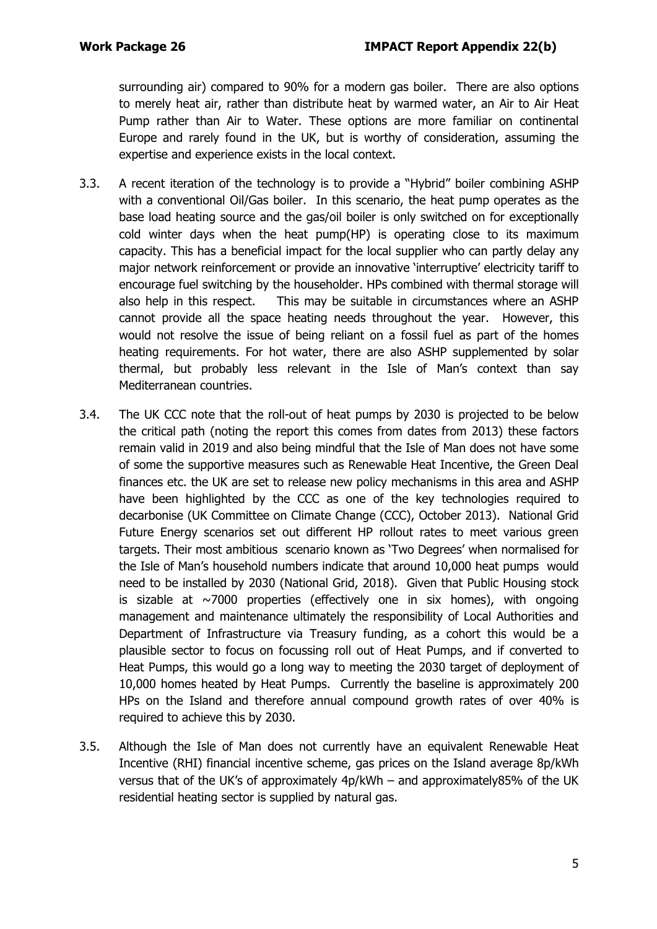surrounding air) compared to 90% for a modern gas boiler. There are also options to merely heat air, rather than distribute heat by warmed water, an Air to Air Heat Pump rather than Air to Water. These options are more familiar on continental Europe and rarely found in the UK, but is worthy of consideration, assuming the expertise and experience exists in the local context.

- 3.3. A recent iteration of the technology is to provide a "Hybrid" boiler combining ASHP with a conventional Oil/Gas boiler. In this scenario, the heat pump operates as the base load heating source and the gas/oil boiler is only switched on for exceptionally cold winter days when the heat pump(HP) is operating close to its maximum capacity. This has a beneficial impact for the local supplier who can partly delay any major network reinforcement or provide an innovative 'interruptive' electricity tariff to encourage fuel switching by the householder. HPs combined with thermal storage will also help in this respect. This may be suitable in circumstances where an ASHP cannot provide all the space heating needs throughout the year. However, this would not resolve the issue of being reliant on a fossil fuel as part of the homes heating requirements. For hot water, there are also ASHP supplemented by solar thermal, but probably less relevant in the Isle of Man's context than say Mediterranean countries.
- 3.4. The UK CCC note that the roll-out of heat pumps by 2030 is projected to be below the critical path (noting the report this comes from dates from 2013) these factors remain valid in 2019 and also being mindful that the Isle of Man does not have some of some the supportive measures such as Renewable Heat Incentive, the Green Deal finances etc. the UK are set to release new policy mechanisms in this area and ASHP have been highlighted by the CCC as one of the key technologies required to decarbonise (UK Committee on Climate Change (CCC), October 2013). National Grid Future Energy scenarios set out different HP rollout rates to meet various green targets. Their most ambitious scenario known as 'Two Degrees' when normalised for the Isle of Man's household numbers indicate that around 10,000 heat pumps would need to be installed by 2030 (National Grid, 2018). Given that Public Housing stock is sizable at  $\sim$ 7000 properties (effectively one in six homes), with ongoing management and maintenance ultimately the responsibility of Local Authorities and Department of Infrastructure via Treasury funding, as a cohort this would be a plausible sector to focus on focussing roll out of Heat Pumps, and if converted to Heat Pumps, this would go a long way to meeting the 2030 target of deployment of 10,000 homes heated by Heat Pumps. Currently the baseline is approximately 200 HPs on the Island and therefore annual compound growth rates of over 40% is required to achieve this by 2030.
- 3.5. Although the Isle of Man does not currently have an equivalent Renewable Heat Incentive (RHI) financial incentive scheme, gas prices on the Island average 8p/kWh versus that of the UK's of approximately 4p/kWh – and approximately85% of the UK residential heating sector is supplied by natural gas.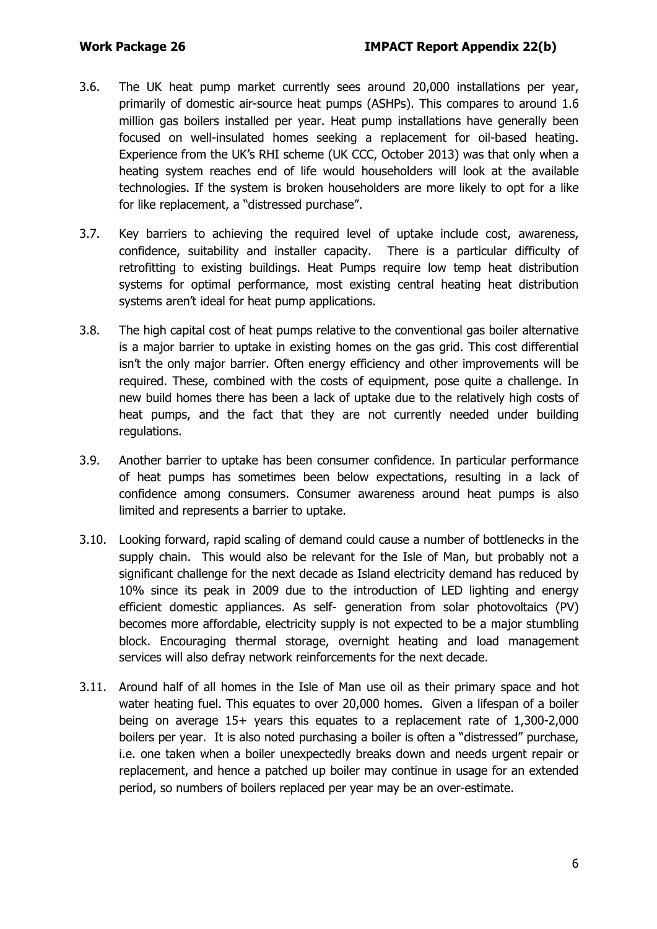- 3.6. The UK heat pump market currently sees around 20,000 installations per year, primarily of domestic air-source heat pumps (ASHPs). This compares to around 1.6 million gas boilers installed per year. Heat pump installations have generally been focused on well-insulated homes seeking a replacement for oil-based heating. Experience from the UK's RHI scheme (UK CCC, October 2013) was that only when a heating system reaches end of life would householders will look at the available technologies. If the system is broken householders are more likely to opt for a like for like replacement, a "distressed purchase".
- 3.7. Key barriers to achieving the required level of uptake include cost, awareness, confidence, suitability and installer capacity. There is a particular difficulty of retrofitting to existing buildings. Heat Pumps require low temp heat distribution systems for optimal performance, most existing central heating heat distribution systems aren't ideal for heat pump applications.
- 3.8. The high capital cost of heat pumps relative to the conventional gas boiler alternative is a major barrier to uptake in existing homes on the gas grid. This cost differential isn't the only major barrier. Often energy efficiency and other improvements will be required. These, combined with the costs of equipment, pose quite a challenge. In new build homes there has been a lack of uptake due to the relatively high costs of heat pumps, and the fact that they are not currently needed under building regulations.
- 3.9. Another barrier to uptake has been consumer confidence. In particular performance of heat pumps has sometimes been below expectations, resulting in a lack of confidence among consumers. Consumer awareness around heat pumps is also limited and represents a barrier to uptake.
- 3.10. Looking forward, rapid scaling of demand could cause a number of bottlenecks in the supply chain. This would also be relevant for the Isle of Man, but probably not a significant challenge for the next decade as Island electricity demand has reduced by 10% since its peak in 2009 due to the introduction of LED lighting and energy efficient domestic appliances. As self- generation from solar photovoltaics (PV) becomes more affordable, electricity supply is not expected to be a major stumbling block. Encouraging thermal storage, overnight heating and load management services will also defray network reinforcements for the next decade.
- 3.11. Around half of all homes in the Isle of Man use oil as their primary space and hot water heating fuel. This equates to over 20,000 homes. Given a lifespan of a boiler being on average 15+ years this equates to a replacement rate of 1,300-2,000 boilers per year. It is also noted purchasing a boiler is often a "distressed" purchase, i.e. one taken when a boiler unexpectedly breaks down and needs urgent repair or replacement, and hence a patched up boiler may continue in usage for an extended period, so numbers of boilers replaced per year may be an over-estimate.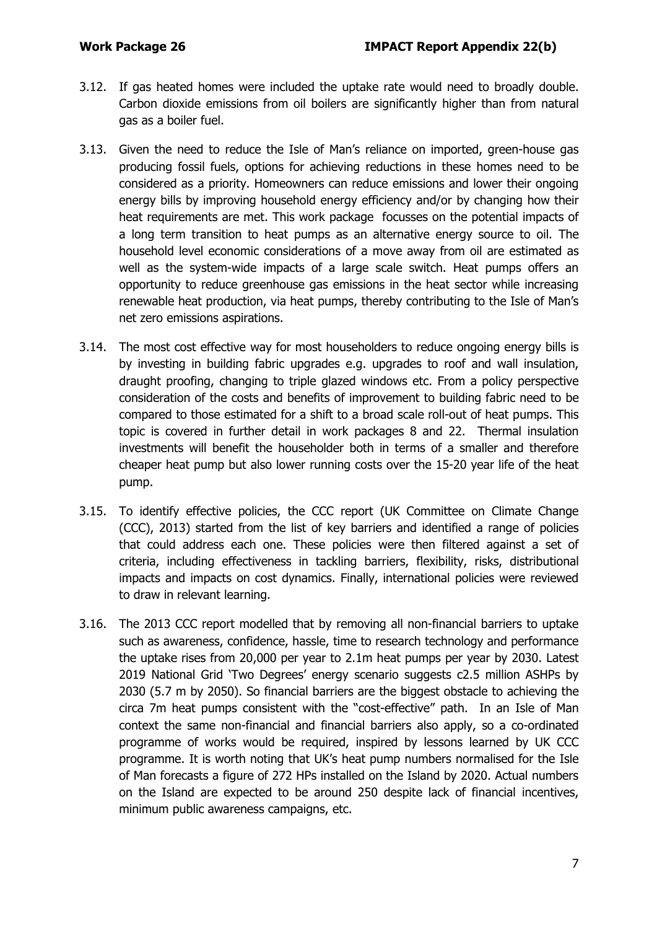- 3.12. If gas heated homes were included the uptake rate would need to broadly double. Carbon dioxide emissions from oil boilers are significantly higher than from natural gas as a boiler fuel.
- 3.13. Given the need to reduce the Isle of Man's reliance on imported, green-house gas producing fossil fuels, options for achieving reductions in these homes need to be considered as a priority. Homeowners can reduce emissions and lower their ongoing energy bills by improving household energy efficiency and/or by changing how their heat requirements are met. This work package focusses on the potential impacts of a long term transition to heat pumps as an alternative energy source to oil. The household level economic considerations of a move away from oil are estimated as well as the system-wide impacts of a large scale switch. Heat pumps offers an opportunity to reduce greenhouse gas emissions in the heat sector while increasing renewable heat production, via heat pumps, thereby contributing to the Isle of Man's net zero emissions aspirations.
- 3.14. The most cost effective way for most householders to reduce ongoing energy bills is by investing in building fabric upgrades e.g. upgrades to roof and wall insulation, draught proofing, changing to triple glazed windows etc. From a policy perspective consideration of the costs and benefits of improvement to building fabric need to be compared to those estimated for a shift to a broad scale roll-out of heat pumps. This topic is covered in further detail in work packages 8 and 22. Thermal insulation investments will benefit the householder both in terms of a smaller and therefore cheaper heat pump but also lower running costs over the 15-20 year life of the heat pump.
- 3.15. To identify effective policies, the CCC report (UK Committee on Climate Change (CCC), 2013) started from the list of key barriers and identified a range of policies that could address each one. These policies were then filtered against a set of criteria, including effectiveness in tackling barriers, flexibility, risks, distributional impacts and impacts on cost dynamics. Finally, international policies were reviewed to draw in relevant learning.
- 3.16. The 2013 CCC report modelled that by removing all non-financial barriers to uptake such as awareness, confidence, hassle, time to research technology and performance the uptake rises from 20,000 per year to 2.1m heat pumps per year by 2030. Latest 2019 National Grid 'Two Degrees' energy scenario suggests c2.5 million ASHPs by 2030 (5.7 m by 2050). So financial barriers are the biggest obstacle to achieving the circa 7m heat pumps consistent with the "cost-effective" path. In an Isle of Man context the same non-financial and financial barriers also apply, so a co-ordinated programme of works would be required, inspired by lessons learned by UK CCC programme. It is worth noting that UK's heat pump numbers normalised for the Isle of Man forecasts a figure of 272 HPs installed on the Island by 2020. Actual numbers on the Island are expected to be around 250 despite lack of financial incentives, minimum public awareness campaigns, etc.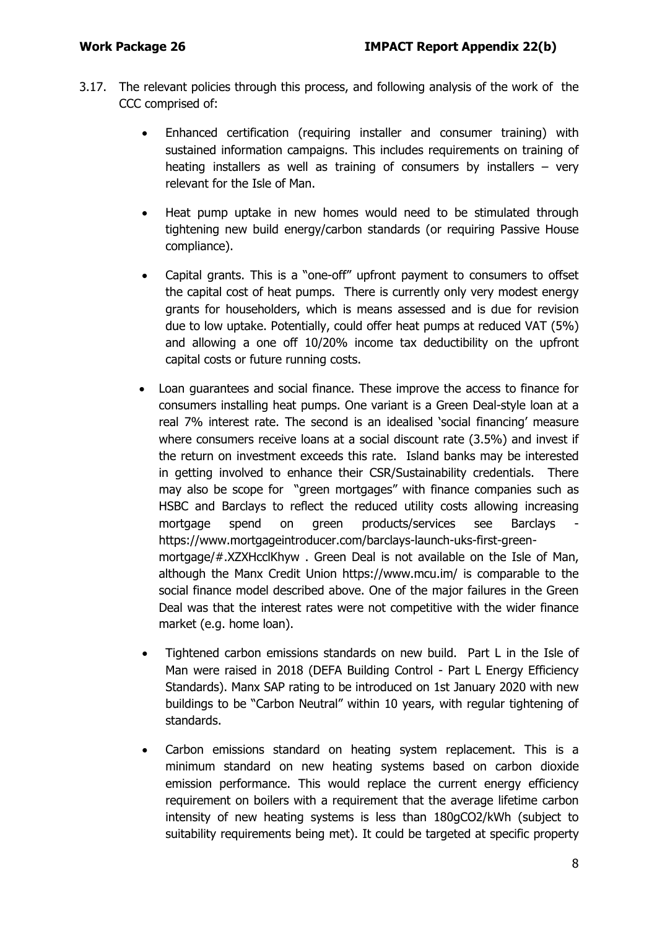- 3.17. The relevant policies through this process, and following analysis of the work of the CCC comprised of:
	- Enhanced certification (requiring installer and consumer training) with sustained information campaigns. This includes requirements on training of heating installers as well as training of consumers by installers – very relevant for the Isle of Man.
	- Heat pump uptake in new homes would need to be stimulated through tightening new build energy/carbon standards (or requiring Passive House compliance).
	- Capital grants. This is a "one-off" upfront payment to consumers to offset the capital cost of heat pumps. There is currently only very modest energy grants for householders, which is means assessed and is due for revision due to low uptake. Potentially, could offer heat pumps at reduced VAT (5%) and allowing a one off 10/20% income tax deductibility on the upfront capital costs or future running costs.
	- Loan guarantees and social finance. These improve the access to finance for consumers installing heat pumps. One variant is a Green Deal-style loan at a real 7% interest rate. The second is an idealised 'social financing' measure where consumers receive loans at a social discount rate (3.5%) and invest if the return on investment exceeds this rate. Island banks may be interested in getting involved to enhance their CSR/Sustainability credentials. There may also be scope for "green mortgages" with finance companies such as HSBC and Barclays to reflect the reduced utility costs allowing increasing mortgage spend on green products/services see Barclays [https://www.mortgageintroducer.com/barclays-launch-uks-first-green](https://www.mortgageintroducer.com/barclays-launch-uks-first-green-mortgage/#.XZXHcclKhyw)[mortgage/#.XZXHcclKhyw](https://www.mortgageintroducer.com/barclays-launch-uks-first-green-mortgage/#.XZXHcclKhyw) . Green Deal is not available on the Isle of Man, although the Manx Credit Union https://www.mcu.im/ is comparable to the social finance model described above. One of the major failures in the Green Deal was that the interest rates were not competitive with the wider finance market (e.g. home loan).
	- Tightened carbon emissions standards on new build. Part L in the Isle of Man were raised in 2018 (DEFA Building Control - Part L Energy Efficiency Standards). Manx SAP rating to be introduced on 1st January 2020 with new buildings to be "Carbon Neutral" within 10 years, with regular tightening of standards.
	- Carbon emissions standard on heating system replacement. This is a minimum standard on new heating systems based on carbon dioxide emission performance. This would replace the current energy efficiency requirement on boilers with a requirement that the average lifetime carbon intensity of new heating systems is less than 180gCO2/kWh (subject to suitability requirements being met). It could be targeted at specific property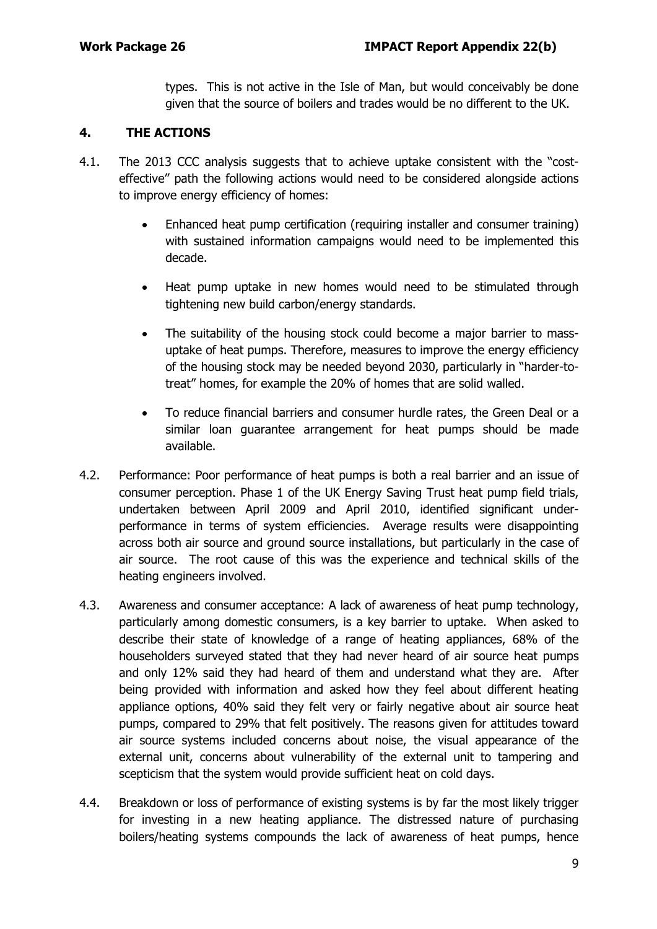types. This is not active in the Isle of Man, but would conceivably be done given that the source of boilers and trades would be no different to the UK.

#### **4. THE ACTIONS**

- 4.1. The 2013 CCC analysis suggests that to achieve uptake consistent with the "costeffective" path the following actions would need to be considered alongside actions to improve energy efficiency of homes:
	- Enhanced heat pump certification (requiring installer and consumer training) with sustained information campaigns would need to be implemented this decade.
	- Heat pump uptake in new homes would need to be stimulated through tightening new build carbon/energy standards.
	- The suitability of the housing stock could become a major barrier to massuptake of heat pumps. Therefore, measures to improve the energy efficiency of the housing stock may be needed beyond 2030, particularly in "harder-totreat" homes, for example the 20% of homes that are solid walled.
	- To reduce financial barriers and consumer hurdle rates, the Green Deal or a similar loan guarantee arrangement for heat pumps should be made available.
- 4.2. Performance: Poor performance of heat pumps is both a real barrier and an issue of consumer perception. Phase 1 of the UK Energy Saving Trust heat pump field trials, undertaken between April 2009 and April 2010, identified significant underperformance in terms of system efficiencies. Average results were disappointing across both air source and ground source installations, but particularly in the case of air source. The root cause of this was the experience and technical skills of the heating engineers involved.
- 4.3. Awareness and consumer acceptance: A lack of awareness of heat pump technology, particularly among domestic consumers, is a key barrier to uptake. When asked to describe their state of knowledge of a range of heating appliances, 68% of the householders surveyed stated that they had never heard of air source heat pumps and only 12% said they had heard of them and understand what they are. After being provided with information and asked how they feel about different heating appliance options, 40% said they felt very or fairly negative about air source heat pumps, compared to 29% that felt positively. The reasons given for attitudes toward air source systems included concerns about noise, the visual appearance of the external unit, concerns about vulnerability of the external unit to tampering and scepticism that the system would provide sufficient heat on cold days.
- 4.4. Breakdown or loss of performance of existing systems is by far the most likely trigger for investing in a new heating appliance. The distressed nature of purchasing boilers/heating systems compounds the lack of awareness of heat pumps, hence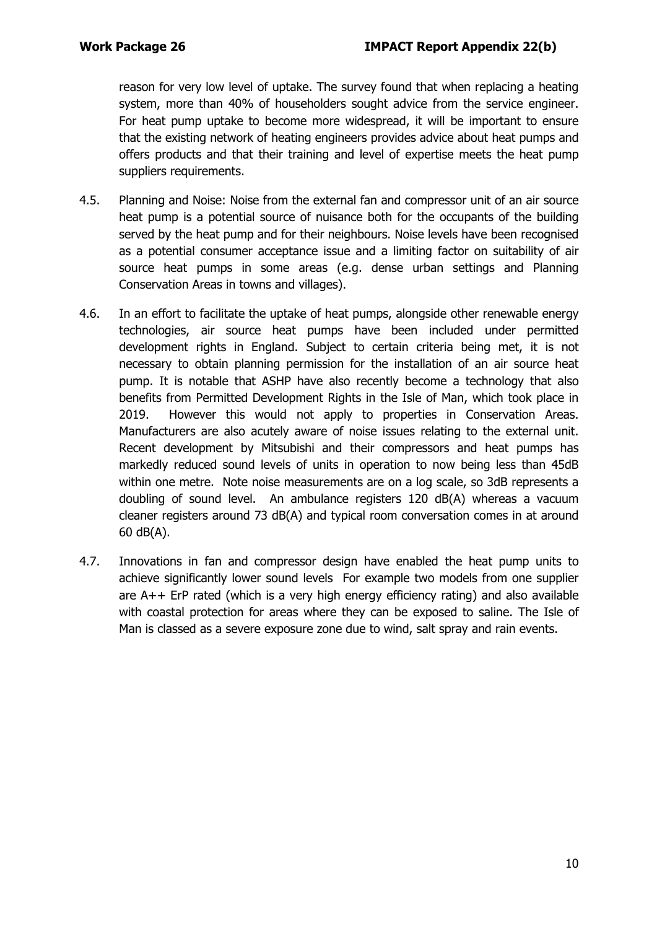reason for very low level of uptake. The survey found that when replacing a heating system, more than 40% of householders sought advice from the service engineer. For heat pump uptake to become more widespread, it will be important to ensure that the existing network of heating engineers provides advice about heat pumps and offers products and that their training and level of expertise meets the heat pump suppliers requirements.

- 4.5. Planning and Noise: Noise from the external fan and compressor unit of an air source heat pump is a potential source of nuisance both for the occupants of the building served by the heat pump and for their neighbours. Noise levels have been recognised as a potential consumer acceptance issue and a limiting factor on suitability of air source heat pumps in some areas (e.g. dense urban settings and Planning Conservation Areas in towns and villages).
- 4.6. In an effort to facilitate the uptake of heat pumps, alongside other renewable energy technologies, air source heat pumps have been included under permitted development rights in England. Subject to certain criteria being met, it is not necessary to obtain planning permission for the installation of an air source heat pump. It is notable that ASHP have also recently become a technology that also benefits from Permitted Development Rights in the Isle of Man, which took place in 2019. However this would not apply to properties in Conservation Areas. Manufacturers are also acutely aware of noise issues relating to the external unit. Recent development by Mitsubishi and their compressors and heat pumps has markedly reduced sound levels of units in operation to now being less than 45dB within one metre. Note noise measurements are on a log scale, so 3dB represents a doubling of sound level. An ambulance registers 120 dB(A) whereas a vacuum cleaner registers around 73 dB(A) and typical room conversation comes in at around 60 dB(A).
- 4.7. Innovations in fan and compressor design have enabled the heat pump units to achieve significantly lower sound levels For example two models from one supplier are A++ ErP rated (which is a very high energy efficiency rating) and also available with coastal protection for areas where they can be exposed to saline. The Isle of Man is classed as a severe exposure zone due to wind, salt spray and rain events.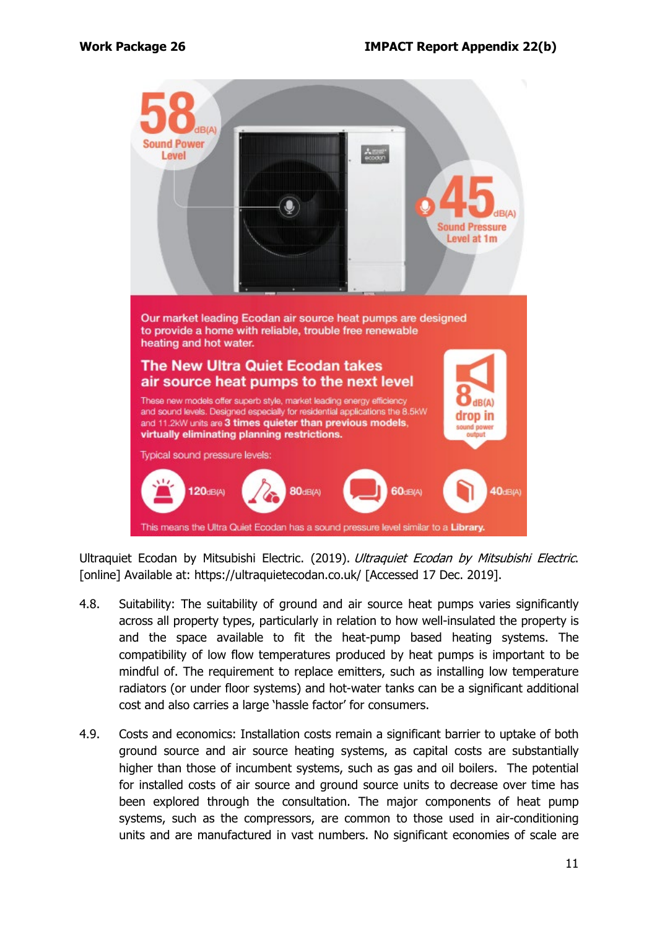

Ultraquiet Ecodan by Mitsubishi Electric. (2019). Ultraquiet Ecodan by Mitsubishi Electric. [online] Available at: https://ultraquietecodan.co.uk/ [Accessed 17 Dec. 2019].

- 4.8. Suitability: The suitability of ground and air source heat pumps varies significantly across all property types, particularly in relation to how well-insulated the property is and the space available to fit the heat-pump based heating systems. The compatibility of low flow temperatures produced by heat pumps is important to be mindful of. The requirement to replace emitters, such as installing low temperature radiators (or under floor systems) and hot-water tanks can be a significant additional cost and also carries a large 'hassle factor' for consumers.
- 4.9. Costs and economics: Installation costs remain a significant barrier to uptake of both ground source and air source heating systems, as capital costs are substantially higher than those of incumbent systems, such as gas and oil boilers. The potential for installed costs of air source and ground source units to decrease over time has been explored through the consultation. The major components of heat pump systems, such as the compressors, are common to those used in air-conditioning units and are manufactured in vast numbers. No significant economies of scale are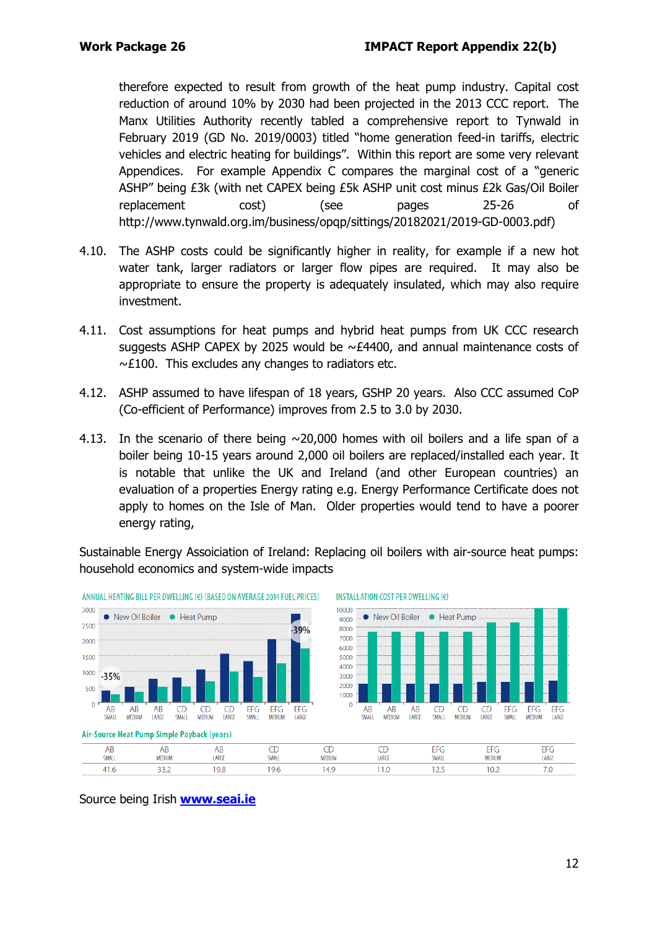therefore expected to result from growth of the heat pump industry. Capital cost reduction of around 10% by 2030 had been projected in the 2013 CCC report. The Manx Utilities Authority recently tabled a comprehensive report to Tynwald in February 2019 (GD No. 2019/0003) titled "home generation feed-in tariffs, electric vehicles and electric heating for buildings". Within this report are some very relevant Appendices. For example Appendix C compares the marginal cost of a "generic ASHP" being £3k (with net CAPEX being £5k ASHP unit cost minus £2k Gas/Oil Boiler replacement cost) (see pages 25-26 of [http://www.tynwald.org.im/business/opqp/sittings/20182021/2019-GD-0003.pdf\)](http://www.tynwald.org.im/business/opqp/sittings/20182021/2019-GD-0003.pdf)

- 4.10. The ASHP costs could be significantly higher in reality, for example if a new hot water tank, larger radiators or larger flow pipes are required. It may also be appropriate to ensure the property is adequately insulated, which may also require investment.
- 4.11. Cost assumptions for heat pumps and hybrid heat pumps from UK CCC research suggests ASHP CAPEX by 2025 would be  $\sim$  £4400, and annual maintenance costs of  $~\sim$ £100. This excludes any changes to radiators etc.
- 4.12. ASHP assumed to have lifespan of 18 years, GSHP 20 years. Also CCC assumed CoP (Co-efficient of Performance) improves from 2.5 to 3.0 by 2030.
- 4.13. In the scenario of there being  $\sim$  20,000 homes with oil boilers and a life span of a boiler being 10-15 years around 2,000 oil boilers are replaced/installed each year. It is notable that unlike the UK and Ireland (and other European countries) an evaluation of a properties Energy rating e.g. Energy Performance Certificate does not apply to homes on the Isle of Man. Older properties would tend to have a poorer energy rating,

Sustainable Energy Assoiciation of Ireland: Replacing oil boilers with air-source heat pumps: household economics and system-wide impacts



ANNUAL HEATING BILL PER DWELLING (€) (BASED ON AVERAGE 2014 FUEL PRICES)

INSTALLATION COST PER DWELLING (€)

Source being Irish **[www.seai.ie](http://www.seai.ie/)**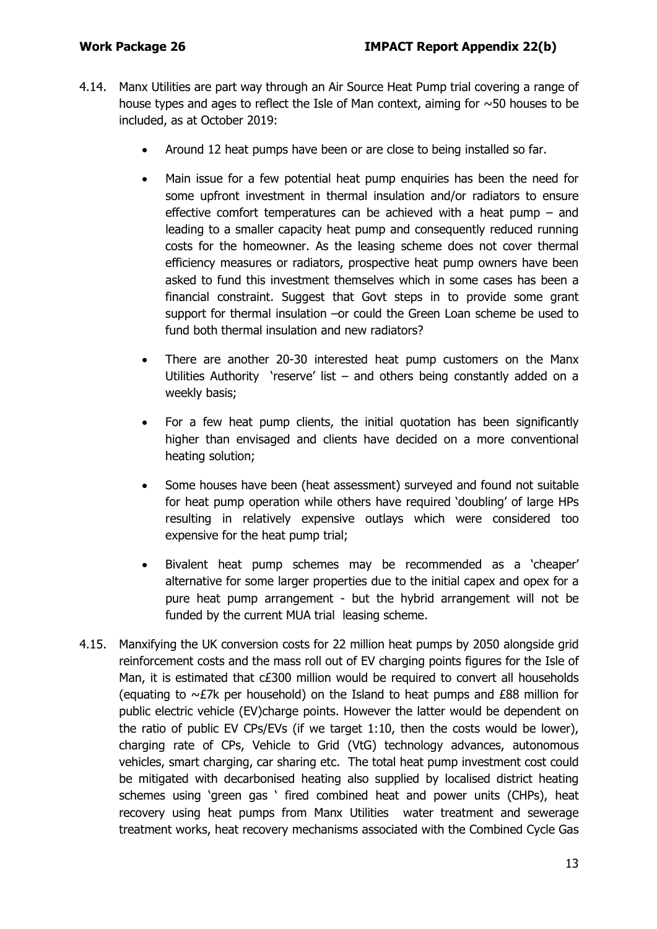- 4.14. Manx Utilities are part way through an Air Source Heat Pump trial covering a range of house types and ages to reflect the Isle of Man context, aiming for  $\sim$  50 houses to be included, as at October 2019:
	- Around 12 heat pumps have been or are close to being installed so far.
	- Main issue for a few potential heat pump enquiries has been the need for some upfront investment in thermal insulation and/or radiators to ensure effective comfort temperatures can be achieved with a heat pump – and leading to a smaller capacity heat pump and consequently reduced running costs for the homeowner. As the leasing scheme does not cover thermal efficiency measures or radiators, prospective heat pump owners have been asked to fund this investment themselves which in some cases has been a financial constraint. Suggest that Govt steps in to provide some grant support for thermal insulation –or could the Green Loan scheme be used to fund both thermal insulation and new radiators?
	- There are another 20-30 interested heat pump customers on the Manx Utilities Authority 'reserve' list  $-$  and others being constantly added on a weekly basis;
	- For a few heat pump clients, the initial quotation has been significantly higher than envisaged and clients have decided on a more conventional heating solution;
	- Some houses have been (heat assessment) surveyed and found not suitable for heat pump operation while others have required 'doubling' of large HPs resulting in relatively expensive outlays which were considered too expensive for the heat pump trial;
	- Bivalent heat pump schemes may be recommended as a 'cheaper' alternative for some larger properties due to the initial capex and opex for a pure heat pump arrangement - but the hybrid arrangement will not be funded by the current MUA trial leasing scheme.
- 4.15. Manxifying the UK conversion costs for 22 million heat pumps by 2050 alongside grid reinforcement costs and the mass roll out of EV charging points figures for the Isle of Man, it is estimated that c£300 million would be required to convert all households (equating to  $\sim$  £7k per household) on the Island to heat pumps and £88 million for public electric vehicle (EV)charge points. However the latter would be dependent on the ratio of public EV CPs/EVs (if we target 1:10, then the costs would be lower), charging rate of CPs, Vehicle to Grid (VtG) technology advances, autonomous vehicles, smart charging, car sharing etc. The total heat pump investment cost could be mitigated with decarbonised heating also supplied by localised district heating schemes using 'green gas ' fired combined heat and power units (CHPs), heat recovery using heat pumps from Manx Utilities water treatment and sewerage treatment works, heat recovery mechanisms associated with the Combined Cycle Gas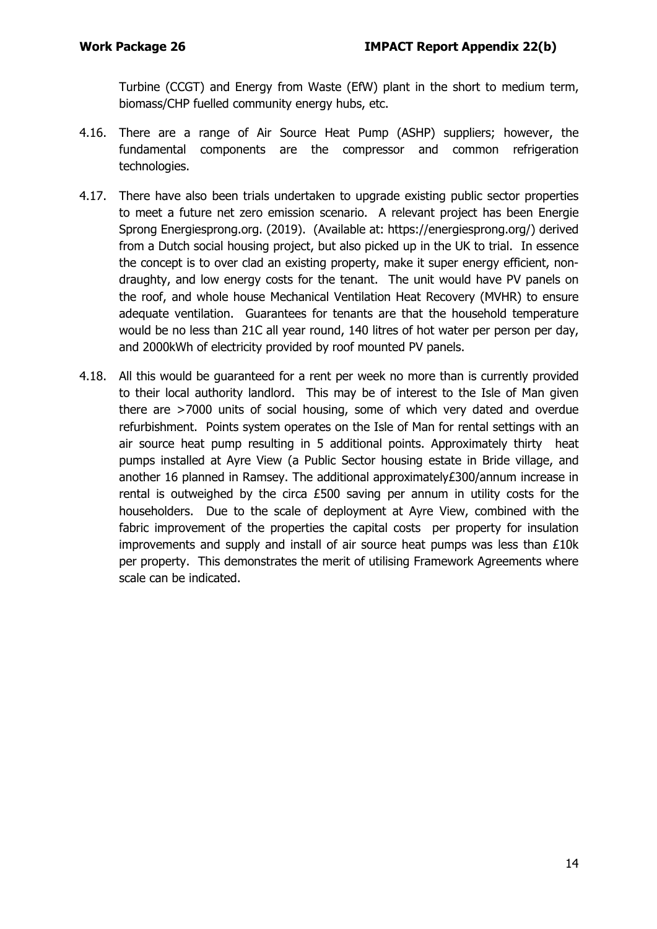Turbine (CCGT) and Energy from Waste (EfW) plant in the short to medium term, biomass/CHP fuelled community energy hubs, etc.

- 4.16. There are a range of Air Source Heat Pump (ASHP) suppliers; however, the fundamental components are the compressor and common refrigeration technologies.
- 4.17. There have also been trials undertaken to upgrade existing public sector properties to meet a future net zero emission scenario. A relevant project has been Energie Sprong Energiesprong.org. (2019). (Available at: https://energiesprong.org/) derived from a Dutch social housing project, but also picked up in the UK to trial. In essence the concept is to over clad an existing property, make it super energy efficient, nondraughty, and low energy costs for the tenant. The unit would have PV panels on the roof, and whole house Mechanical Ventilation Heat Recovery (MVHR) to ensure adequate ventilation. Guarantees for tenants are that the household temperature would be no less than 21C all year round, 140 litres of hot water per person per day, and 2000kWh of electricity provided by roof mounted PV panels.
- 4.18. All this would be guaranteed for a rent per week no more than is currently provided to their local authority landlord. This may be of interest to the Isle of Man given there are >7000 units of social housing, some of which very dated and overdue refurbishment. Points system operates on the Isle of Man for rental settings with an air source heat pump resulting in 5 additional points. Approximately thirty heat pumps installed at Ayre View (a Public Sector housing estate in Bride village, and another 16 planned in Ramsey. The additional approximately£300/annum increase in rental is outweighed by the circa £500 saving per annum in utility costs for the householders. Due to the scale of deployment at Ayre View, combined with the fabric improvement of the properties the capital costs per property for insulation improvements and supply and install of air source heat pumps was less than £10k per property. This demonstrates the merit of utilising Framework Agreements where scale can be indicated.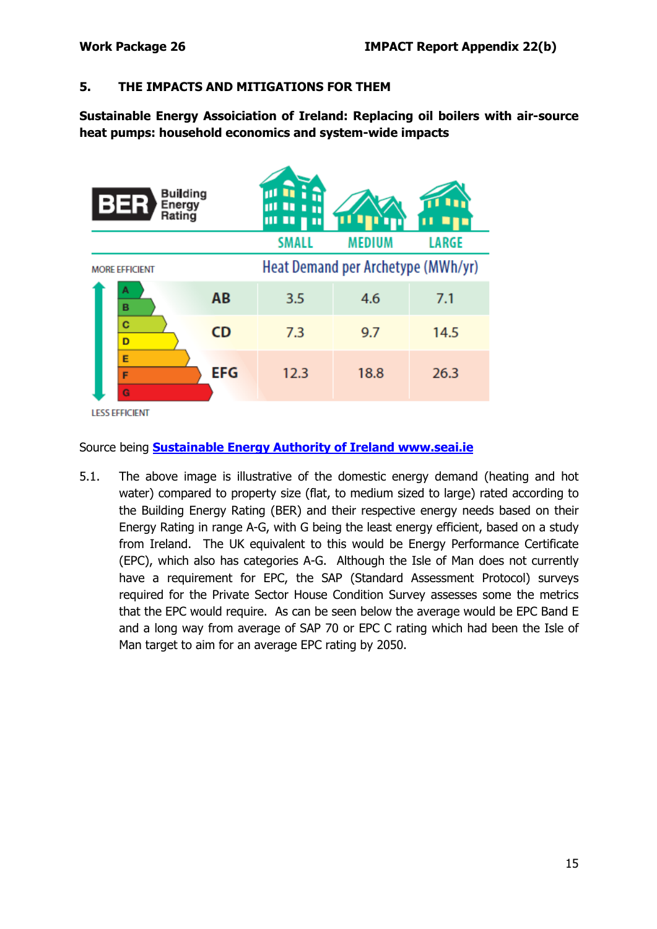#### **5. THE IMPACTS AND MITIGATIONS FOR THEM**

**Sustainable Energy Assoiciation of Ireland: Replacing oil boilers with air-source heat pumps: household economics and system-wide impacts**

| <b>Building</b><br>Energy<br>Rating |            | ш<br>Ш<br>Ш<br>П                   |               |              |  |  |
|-------------------------------------|------------|------------------------------------|---------------|--------------|--|--|
|                                     |            | <b>SMALL</b>                       | <b>MEDIUM</b> | <b>LARGE</b> |  |  |
| <b>MORE EFFICIENT</b>               |            | Heat Demand per Archetype (MWh/yr) |               |              |  |  |
| А<br>B                              | AB         | 3.5                                | 4.6           | 7.1          |  |  |
| C<br>D                              | <b>CD</b>  | 7.3                                | 9.7           | 14.5         |  |  |
| E<br>F<br>G                         | <b>EFG</b> | 12.3                               | 18.8          | 26.3         |  |  |
| <b>LESS EFFICIENT</b>               |            |                                    |               |              |  |  |

Source being **[Sustainable Energy Authority of Ireland www.seai.ie](file://reiltys/iomgroot/DeptShare_DEFA/CLIMATE%20CHANGE/Analytical%20Team/Tranche%201.%20Work%20Packages/T1WP_26_/Ireland%20-%20Replacing-oil-boilers-with-heat-pump-household-economics-and-system-wide-impacts-Summary-document-.pdf)**

5.1. The above image is illustrative of the domestic energy demand (heating and hot water) compared to property size (flat, to medium sized to large) rated according to the Building Energy Rating (BER) and their respective energy needs based on their Energy Rating in range A-G, with G being the least energy efficient, based on a study from Ireland. The UK equivalent to this would be Energy Performance Certificate (EPC), which also has categories A-G. Although the Isle of Man does not currently have a requirement for EPC, the SAP (Standard Assessment Protocol) surveys required for the Private Sector House Condition Survey assesses some the metrics that the EPC would require. As can be seen below the average would be EPC Band E and a long way from average of SAP 70 or EPC C rating which had been the Isle of Man target to aim for an average EPC rating by 2050.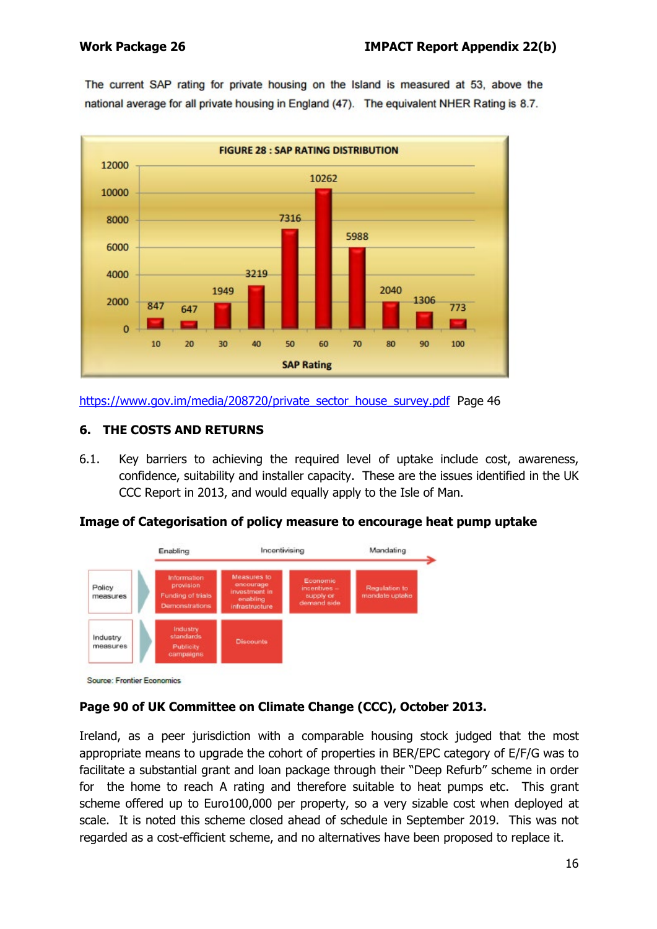The current SAP rating for private housing on the Island is measured at 53, above the national average for all private housing in England (47). The equivalent NHER Rating is 8.7.



[https://www.gov.im/media/208720/private\\_sector\\_house\\_survey.pdf](https://www.gov.im/media/208720/private_sector_house_survey.pdf) Page 46

# **6. THE COSTS AND RETURNS**

6.1. Key barriers to achieving the required level of uptake include cost, awareness, confidence, suitability and installer capacity. These are the issues identified in the UK CCC Report in 2013, and would equally apply to the Isle of Man.

# **Image of Categorisation of policy measure to encourage heat pump uptake**



# **Page 90 of UK Committee on Climate Change (CCC), October 2013.**

Ireland, as a peer jurisdiction with a comparable housing stock judged that the most appropriate means to upgrade the cohort of properties in BER/EPC category of E/F/G was to facilitate a substantial grant and loan package through their "Deep Refurb" scheme in order for the home to reach A rating and therefore suitable to heat pumps etc. This grant scheme offered up to Euro100,000 per property, so a very sizable cost when deployed at scale. It is noted this scheme closed ahead of schedule in September 2019. This was not regarded as a cost-efficient scheme, and no alternatives have been proposed to replace it.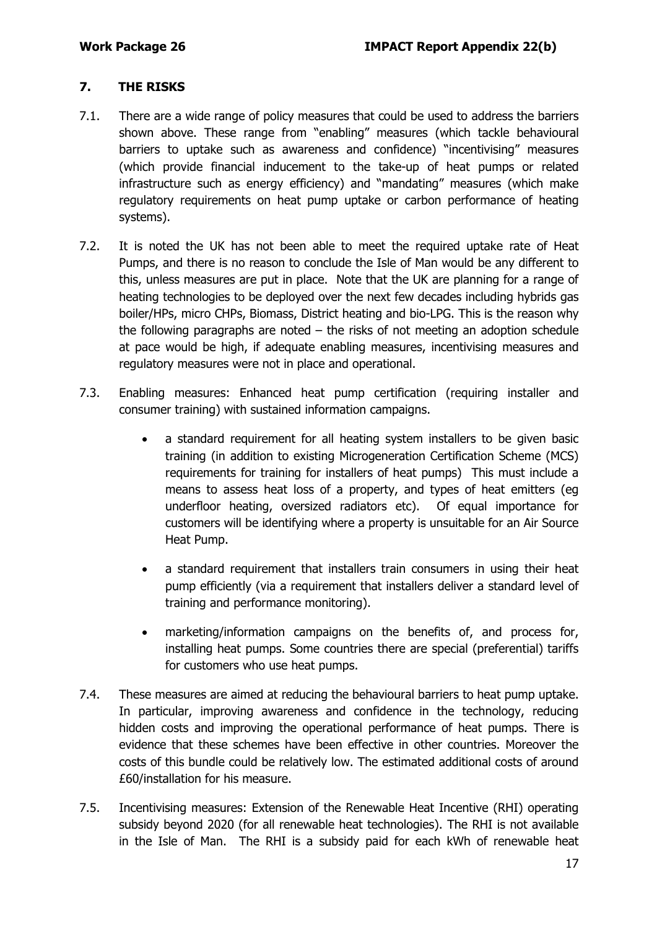#### **7. THE RISKS**

- 7.1. There are a wide range of policy measures that could be used to address the barriers shown above. These range from "enabling" measures (which tackle behavioural barriers to uptake such as awareness and confidence) "incentivising" measures (which provide financial inducement to the take-up of heat pumps or related infrastructure such as energy efficiency) and "mandating" measures (which make regulatory requirements on heat pump uptake or carbon performance of heating systems).
- 7.2. It is noted the UK has not been able to meet the required uptake rate of Heat Pumps, and there is no reason to conclude the Isle of Man would be any different to this, unless measures are put in place. Note that the UK are planning for a range of heating technologies to be deployed over the next few decades including hybrids gas boiler/HPs, micro CHPs, Biomass, District heating and bio-LPG. This is the reason why the following paragraphs are noted – the risks of not meeting an adoption schedule at pace would be high, if adequate enabling measures, incentivising measures and regulatory measures were not in place and operational.
- 7.3. Enabling measures: Enhanced heat pump certification (requiring installer and consumer training) with sustained information campaigns.
	- a standard requirement for all heating system installers to be given basic training (in addition to existing Microgeneration Certification Scheme (MCS) requirements for training for installers of heat pumps) This must include a means to assess heat loss of a property, and types of heat emitters (eg underfloor heating, oversized radiators etc). Of equal importance for customers will be identifying where a property is unsuitable for an Air Source Heat Pump.
	- a standard requirement that installers train consumers in using their heat pump efficiently (via a requirement that installers deliver a standard level of training and performance monitoring).
	- marketing/information campaigns on the benefits of, and process for, installing heat pumps. Some countries there are special (preferential) tariffs for customers who use heat pumps.
- 7.4. These measures are aimed at reducing the behavioural barriers to heat pump uptake. In particular, improving awareness and confidence in the technology, reducing hidden costs and improving the operational performance of heat pumps. There is evidence that these schemes have been effective in other countries. Moreover the costs of this bundle could be relatively low. The estimated additional costs of around £60/installation for his measure.
- 7.5. Incentivising measures: Extension of the Renewable Heat Incentive (RHI) operating subsidy beyond 2020 (for all renewable heat technologies). The RHI is not available in the Isle of Man. The RHI is a subsidy paid for each kWh of renewable heat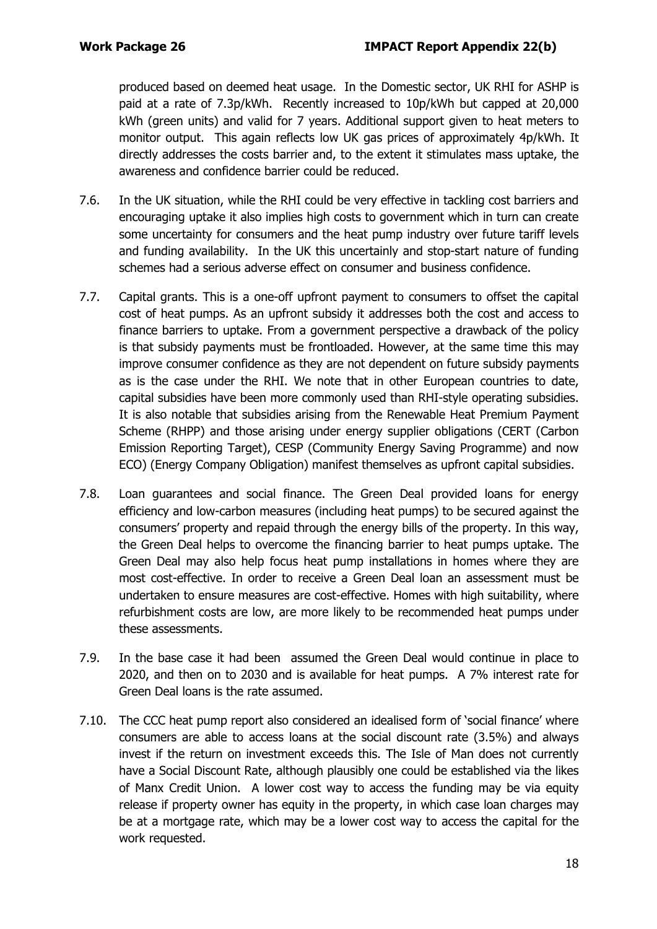produced based on deemed heat usage. In the Domestic sector, UK RHI for ASHP is paid at a rate of 7.3p/kWh. Recently increased to 10p/kWh but capped at 20,000 kWh (green units) and valid for 7 years. Additional support given to heat meters to monitor output. This again reflects low UK gas prices of approximately 4p/kWh. It directly addresses the costs barrier and, to the extent it stimulates mass uptake, the awareness and confidence barrier could be reduced.

- 7.6. In the UK situation, while the RHI could be very effective in tackling cost barriers and encouraging uptake it also implies high costs to government which in turn can create some uncertainty for consumers and the heat pump industry over future tariff levels and funding availability. In the UK this uncertainly and stop-start nature of funding schemes had a serious adverse effect on consumer and business confidence.
- 7.7. Capital grants. This is a one-off upfront payment to consumers to offset the capital cost of heat pumps. As an upfront subsidy it addresses both the cost and access to finance barriers to uptake. From a government perspective a drawback of the policy is that subsidy payments must be frontloaded. However, at the same time this may improve consumer confidence as they are not dependent on future subsidy payments as is the case under the RHI. We note that in other European countries to date, capital subsidies have been more commonly used than RHI-style operating subsidies. It is also notable that subsidies arising from the Renewable Heat Premium Payment Scheme (RHPP) and those arising under energy supplier obligations (CERT (Carbon Emission Reporting Target), CESP (Community Energy Saving Programme) and now ECO) (Energy Company Obligation) manifest themselves as upfront capital subsidies.
- 7.8. Loan guarantees and social finance. The Green Deal provided loans for energy efficiency and low-carbon measures (including heat pumps) to be secured against the consumers' property and repaid through the energy bills of the property. In this way, the Green Deal helps to overcome the financing barrier to heat pumps uptake. The Green Deal may also help focus heat pump installations in homes where they are most cost-effective. In order to receive a Green Deal loan an assessment must be undertaken to ensure measures are cost-effective. Homes with high suitability, where refurbishment costs are low, are more likely to be recommended heat pumps under these assessments.
- 7.9. In the base case it had been assumed the Green Deal would continue in place to 2020, and then on to 2030 and is available for heat pumps. A 7% interest rate for Green Deal loans is the rate assumed.
- 7.10. The CCC heat pump report also considered an idealised form of 'social finance' where consumers are able to access loans at the social discount rate (3.5%) and always invest if the return on investment exceeds this. The Isle of Man does not currently have a Social Discount Rate, although plausibly one could be established via the likes of Manx Credit Union. A lower cost way to access the funding may be via equity release if property owner has equity in the property, in which case loan charges may be at a mortgage rate, which may be a lower cost way to access the capital for the work requested.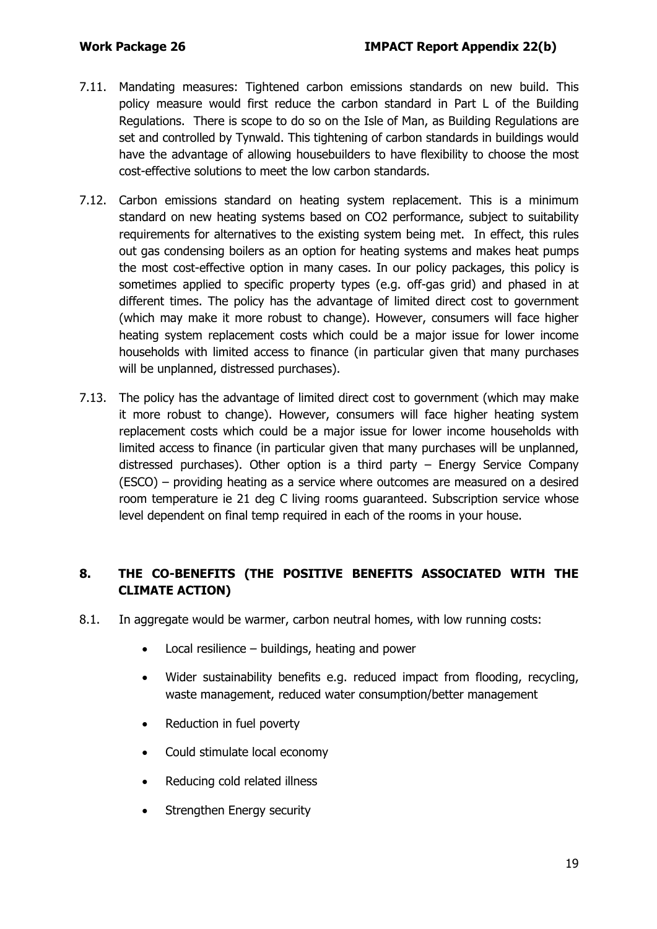- 7.11. Mandating measures: Tightened carbon emissions standards on new build. This policy measure would first reduce the carbon standard in Part L of the Building Regulations. There is scope to do so on the Isle of Man, as Building Regulations are set and controlled by Tynwald. This tightening of carbon standards in buildings would have the advantage of allowing housebuilders to have flexibility to choose the most cost-effective solutions to meet the low carbon standards.
- 7.12. Carbon emissions standard on heating system replacement. This is a minimum standard on new heating systems based on CO2 performance, subject to suitability requirements for alternatives to the existing system being met. In effect, this rules out gas condensing boilers as an option for heating systems and makes heat pumps the most cost-effective option in many cases. In our policy packages, this policy is sometimes applied to specific property types (e.g. off-gas grid) and phased in at different times. The policy has the advantage of limited direct cost to government (which may make it more robust to change). However, consumers will face higher heating system replacement costs which could be a major issue for lower income households with limited access to finance (in particular given that many purchases will be unplanned, distressed purchases).
- 7.13. The policy has the advantage of limited direct cost to government (which may make it more robust to change). However, consumers will face higher heating system replacement costs which could be a major issue for lower income households with limited access to finance (in particular given that many purchases will be unplanned, distressed purchases). Other option is a third party – Energy Service Company (ESCO) – providing heating as a service where outcomes are measured on a desired room temperature ie 21 deg C living rooms guaranteed. Subscription service whose level dependent on final temp required in each of the rooms in your house.

# **8. THE CO-BENEFITS (THE POSITIVE BENEFITS ASSOCIATED WITH THE CLIMATE ACTION)**

- 8.1. In aggregate would be warmer, carbon neutral homes, with low running costs:
	- Local resilience buildings, heating and power
	- Wider sustainability benefits e.g. reduced impact from flooding, recycling, waste management, reduced water consumption/better management
	- Reduction in fuel poverty
	- Could stimulate local economy
	- Reducing cold related illness
	- Strengthen Energy security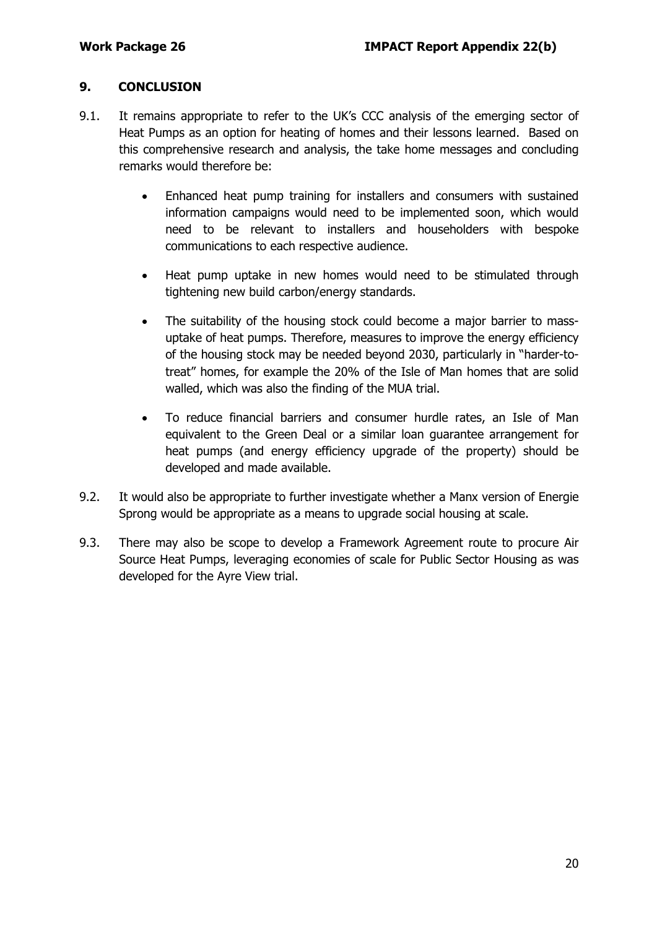#### **9. CONCLUSION**

- 9.1. It remains appropriate to refer to the UK's CCC analysis of the emerging sector of Heat Pumps as an option for heating of homes and their lessons learned. Based on this comprehensive research and analysis, the take home messages and concluding remarks would therefore be:
	- Enhanced heat pump training for installers and consumers with sustained information campaigns would need to be implemented soon, which would need to be relevant to installers and householders with bespoke communications to each respective audience.
	- Heat pump uptake in new homes would need to be stimulated through tightening new build carbon/energy standards.
	- The suitability of the housing stock could become a major barrier to massuptake of heat pumps. Therefore, measures to improve the energy efficiency of the housing stock may be needed beyond 2030, particularly in "harder-totreat" homes, for example the 20% of the Isle of Man homes that are solid walled, which was also the finding of the MUA trial.
	- To reduce financial barriers and consumer hurdle rates, an Isle of Man equivalent to the Green Deal or a similar loan guarantee arrangement for heat pumps (and energy efficiency upgrade of the property) should be developed and made available.
- 9.2. It would also be appropriate to further investigate whether a Manx version of Energie Sprong would be appropriate as a means to upgrade social housing at scale.
- 9.3. There may also be scope to develop a Framework Agreement route to procure Air Source Heat Pumps, leveraging economies of scale for Public Sector Housing as was developed for the Ayre View trial.